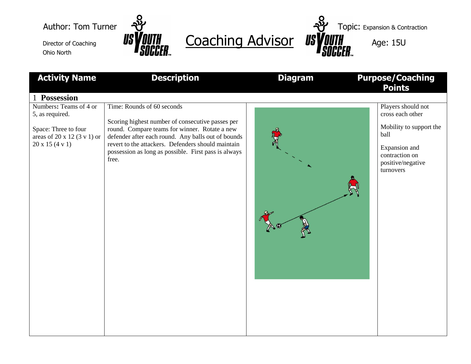Ohio North



Director of Coaching **USYOUTH** Coaching Advisor USYOUTH Age: 15U

Author: Tom Turner  $\frac{3}{2}$ 

| <b>Activity Name</b>                                                                                                                                   | <b>Description</b>                                                                                                                                                                                                                                                                                           | <b>Diagram</b> | <b>Purpose/Coaching</b><br><b>Points</b>                                                                                                       |
|--------------------------------------------------------------------------------------------------------------------------------------------------------|--------------------------------------------------------------------------------------------------------------------------------------------------------------------------------------------------------------------------------------------------------------------------------------------------------------|----------------|------------------------------------------------------------------------------------------------------------------------------------------------|
| 1 Possession<br>Numbers: Teams of 4 or<br>5, as required.<br>Space: Three to four<br>areas of $20 \times 12$ (3 v 1) or<br>$20 \times 15 (4 \times 1)$ | Time: Rounds of 60 seconds<br>Scoring highest number of consecutive passes per<br>round. Compare teams for winner. Rotate a new<br>defender after each round. Any balls out of bounds<br>revert to the attackers. Defenders should maintain<br>possession as long as possible. First pass is always<br>free. |                | Players should not<br>cross each other<br>Mobility to support the<br>ball<br>Expansion and<br>contraction on<br>positive/negative<br>turnovers |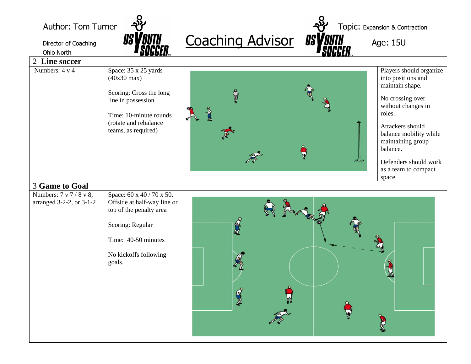Author: Tom Turner  $\frac{1}{2}$ 

Ohio North



Director of Coaching **USYOUTH** Coaching Advisor USYOUTH Age: 15U

| 2 Line soccer                                       |                                                                                                                                                                          |                                                                                                                                                                                                                                                                                                            |  |  |
|-----------------------------------------------------|--------------------------------------------------------------------------------------------------------------------------------------------------------------------------|------------------------------------------------------------------------------------------------------------------------------------------------------------------------------------------------------------------------------------------------------------------------------------------------------------|--|--|
| Numbers: $4 \text{ v } 4$                           | Space: 35 x 25 yards<br>$(40x30 \text{ max})$<br>Scoring: Cross the long<br>line in possession<br>Time: 10-minute rounds<br>(rotate and rebalance<br>teams, as required) | Players should organize<br>into positions and<br>maintain shape.<br>$\Phi$<br>No crossing over<br>without changes in<br>$\sum_{i=1}^n$<br>roles.<br>Attackers should<br>balance mobility while<br>maintaining group<br>balance.<br>  <br>attack<br>Defenders should work<br>as a team to compact<br>space. |  |  |
| 3 Game to Goal                                      |                                                                                                                                                                          |                                                                                                                                                                                                                                                                                                            |  |  |
| Numbers: 7 v 7 / 8 v 8,<br>arranged 3-2-2, or 3-1-2 | Space: 60 x 40 / 70 x 50.<br>Offside at half-way line or<br>top of the penalty area<br>Scoring: Regular<br>Time: 40-50 minutes<br>No kickoffs following<br>goals.        | R<br>J                                                                                                                                                                                                                                                                                                     |  |  |